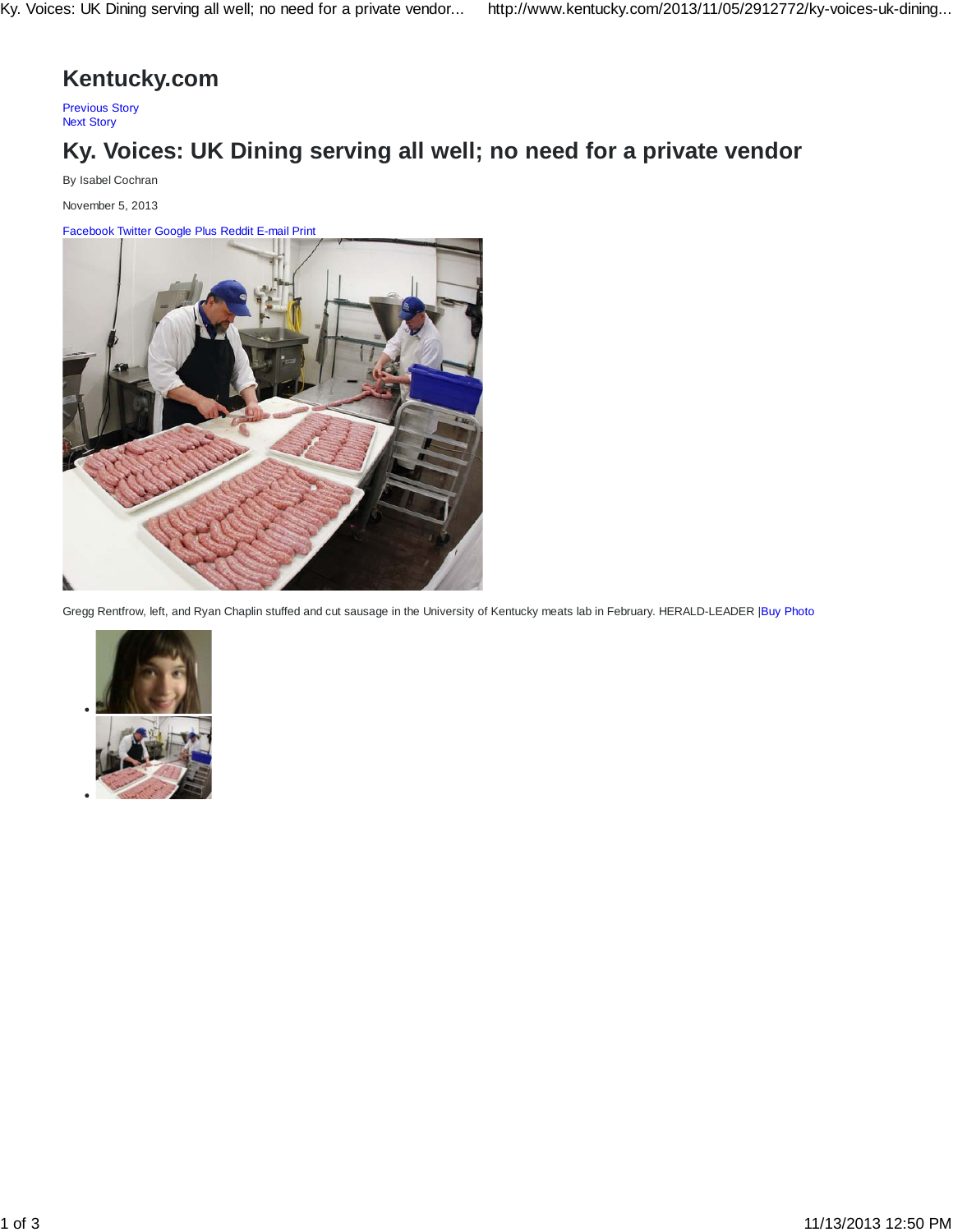## **Kentucky.com**

Previous Story Next Story

## **Ky. Voices: UK Dining serving all well; no need for a private vendor**

By Isabel Cochran

November 5, 2013

Facebook Twitter Google Plus Reddit E-mail Print



Gregg Rentfrow, left, and Ryan Chaplin stuffed and cut sausage in the University of Kentucky meats lab in February. HERALD-LEADER |Buy Photo